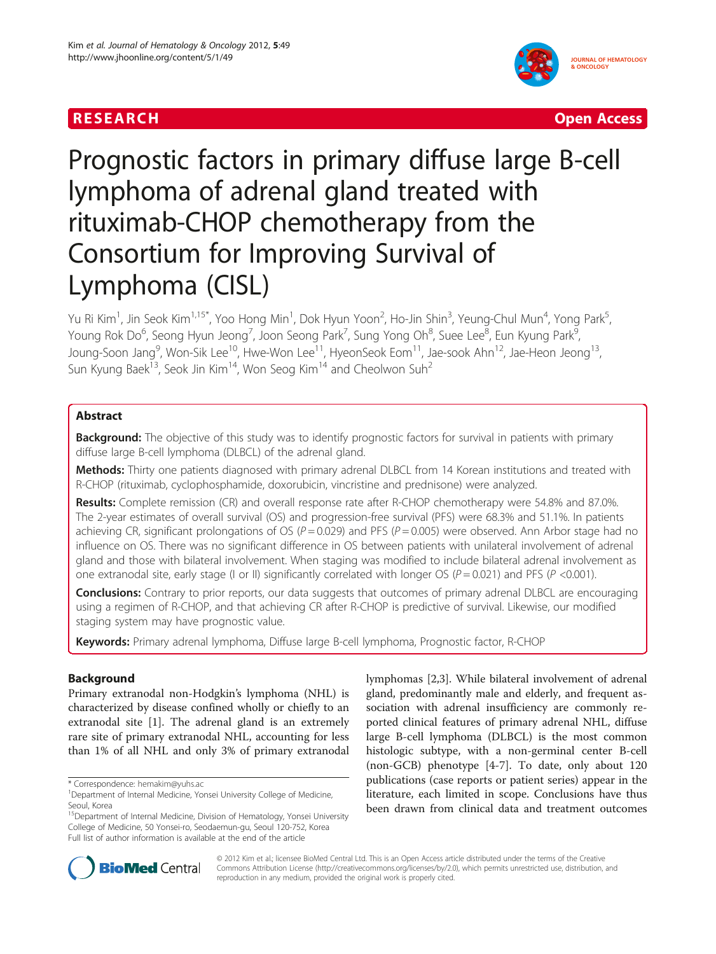# **RESEARCH CHINESE ARCH CHINESE ARCHITECT AND ACCESS AND LODGED ACCESS**



# Prognostic factors in primary diffuse large B-cell lymphoma of adrenal gland treated with rituximab-CHOP chemotherapy from the Consortium for Improving Survival of Lymphoma (CISL)

Yu Ri Kim<sup>1</sup>, Jin Seok Kim<sup>1,15\*</sup>, Yoo Hong Min<sup>1</sup>, Dok Hyun Yoon<sup>2</sup>, Ho-Jin Shin<sup>3</sup>, Yeung-Chul Mun<sup>4</sup>, Yong Park<sup>5</sup> , Young Rok Do<sup>6</sup>, Seong Hyun Jeong<sup>7</sup>, Joon Seong Park<sup>7</sup>, Sung Yong Oh<sup>8</sup>, Suee Lee<sup>8</sup>, Eun Kyung Park<sup>9</sup> , Joung-Soon Jang<sup>9</sup>, Won-Sik Lee<sup>10</sup>, Hwe-Won Lee<sup>11</sup>, HyeonSeok Eom<sup>11</sup>, Jae-sook Ahn<sup>12</sup>, Jae-Heon Jeong<sup>13</sup>, Sun Kyung Baek<sup>13</sup>, Seok Jin Kim<sup>14</sup>, Won Seog Kim<sup>14</sup> and Cheolwon Suh<sup>2</sup>

# Abstract

**Background:** The objective of this study was to identify prognostic factors for survival in patients with primary diffuse large B-cell lymphoma (DLBCL) of the adrenal gland.

Methods: Thirty one patients diagnosed with primary adrenal DLBCL from 14 Korean institutions and treated with R-CHOP (rituximab, cyclophosphamide, doxorubicin, vincristine and prednisone) were analyzed.

Results: Complete remission (CR) and overall response rate after R-CHOP chemotherapy were 54.8% and 87.0%. The 2-year estimates of overall survival (OS) and progression-free survival (PFS) were 68.3% and 51.1%. In patients achieving CR, significant prolongations of OS ( $P = 0.029$ ) and PFS ( $P = 0.005$ ) were observed. Ann Arbor stage had no influence on OS. There was no significant difference in OS between patients with unilateral involvement of adrenal gland and those with bilateral involvement. When staging was modified to include bilateral adrenal involvement as one extranodal site, early stage (I or II) significantly correlated with longer OS ( $P = 0.021$ ) and PFS ( $P < 0.001$ ).

**Conclusions:** Contrary to prior reports, our data suggests that outcomes of primary adrenal DLBCL are encouraging using a regimen of R-CHOP, and that achieving CR after R-CHOP is predictive of survival. Likewise, our modified staging system may have prognostic value.

Keywords: Primary adrenal lymphoma, Diffuse large B-cell lymphoma, Prognostic factor, R-CHOP

# Background

Primary extranodal non-Hodgkin's lymphoma (NHL) is characterized by disease confined wholly or chiefly to an extranodal site [[1\]](#page-7-0). The adrenal gland is an extremely rare site of primary extranodal NHL, accounting for less than 1% of all NHL and only 3% of primary extranodal lymphomas [[2](#page-7-0),[3](#page-7-0)]. While bilateral involvement of adrenal gland, predominantly male and elderly, and frequent association with adrenal insufficiency are commonly reported clinical features of primary adrenal NHL, diffuse large B-cell lymphoma (DLBCL) is the most common histologic subtype, with a non-germinal center B-cell (non-GCB) phenotype [\[4-7](#page-7-0)]. To date, only about 120 publications (case reports or patient series) appear in the literature, each limited in scope. Conclusions have thus been drawn from clinical data and treatment outcomes



© 2012 Kim et al.; licensee BioMed Central Ltd. This is an Open Access article distributed under the terms of the Creative Commons Attribution License [\(http://creativecommons.org/licenses/by/2.0\)](http://creativecommons.org/licenses/by/2.0), which permits unrestricted use, distribution, and reproduction in any medium, provided the original work is properly cited.

<sup>\*</sup> Correspondence: [hemakim@yuhs.ac](mailto:hemakim@yuhs.ac) <sup>1</sup>

<sup>&</sup>lt;sup>1</sup>Department of Internal Medicine, Yonsei University College of Medicine, Seoul, Korea

<sup>&</sup>lt;sup>15</sup>Department of Internal Medicine, Division of Hematology, Yonsei University College of Medicine, 50 Yonsei-ro, Seodaemun-gu, Seoul 120-752, Korea Full list of author information is available at the end of the article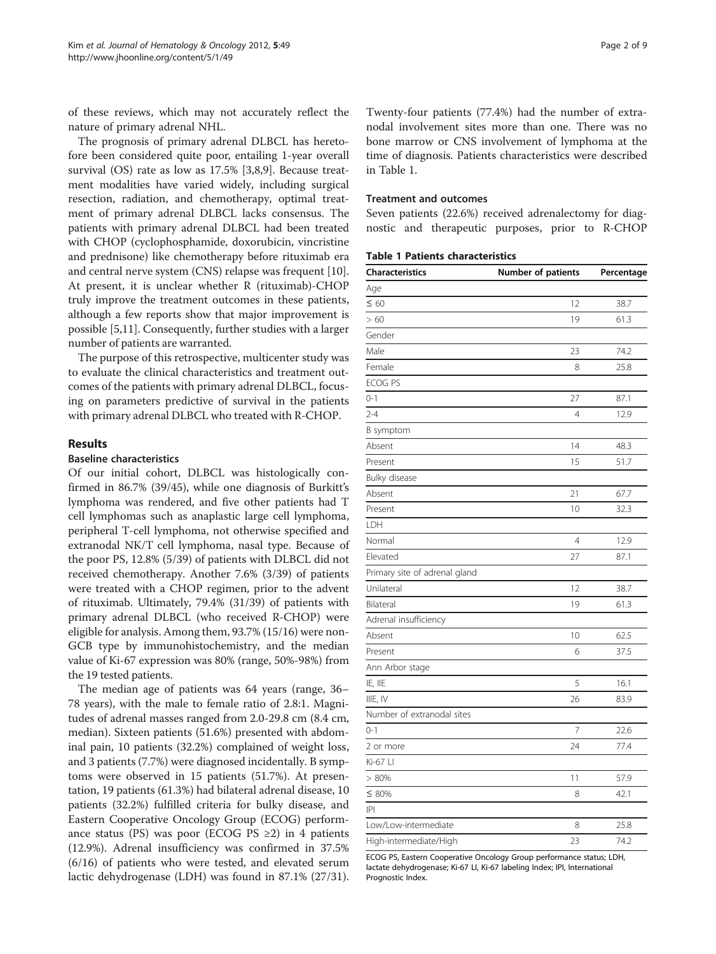of these reviews, which may not accurately reflect the nature of primary adrenal NHL.

The prognosis of primary adrenal DLBCL has heretofore been considered quite poor, entailing 1-year overall survival (OS) rate as low as 17.5% [[3,8,9\]](#page-7-0). Because treatment modalities have varied widely, including surgical resection, radiation, and chemotherapy, optimal treatment of primary adrenal DLBCL lacks consensus. The patients with primary adrenal DLBCL had been treated with CHOP (cyclophosphamide, doxorubicin, vincristine and prednisone) like chemotherapy before rituximab era and central nerve system (CNS) relapse was frequent [\[10](#page-7-0)]. At present, it is unclear whether R (rituximab)-CHOP truly improve the treatment outcomes in these patients, although a few reports show that major improvement is possible [[5](#page-7-0),[11\]](#page-7-0). Consequently, further studies with a larger number of patients are warranted.

The purpose of this retrospective, multicenter study was to evaluate the clinical characteristics and treatment outcomes of the patients with primary adrenal DLBCL, focusing on parameters predictive of survival in the patients with primary adrenal DLBCL who treated with R-CHOP.

#### Results

# Baseline characteristics

Of our initial cohort, DLBCL was histologically confirmed in 86.7% (39/45), while one diagnosis of Burkitt's lymphoma was rendered, and five other patients had T cell lymphomas such as anaplastic large cell lymphoma, peripheral T-cell lymphoma, not otherwise specified and extranodal NK/T cell lymphoma, nasal type. Because of the poor PS, 12.8% (5/39) of patients with DLBCL did not received chemotherapy. Another 7.6% (3/39) of patients were treated with a CHOP regimen, prior to the advent of rituximab. Ultimately, 79.4% (31/39) of patients with primary adrenal DLBCL (who received R-CHOP) were eligible for analysis. Among them, 93.7% (15/16) were non-GCB type by immunohistochemistry, and the median value of Ki-67 expression was 80% (range, 50%-98%) from the 19 tested patients.

The median age of patients was 64 years (range, 36– 78 years), with the male to female ratio of 2.8:1. Magnitudes of adrenal masses ranged from 2.0-29.8 cm (8.4 cm, median). Sixteen patients (51.6%) presented with abdominal pain, 10 patients (32.2%) complained of weight loss, and 3 patients (7.7%) were diagnosed incidentally. B symptoms were observed in 15 patients (51.7%). At presentation, 19 patients (61.3%) had bilateral adrenal disease, 10 patients (32.2%) fulfilled criteria for bulky disease, and Eastern Cooperative Oncology Group (ECOG) performance status (PS) was poor (ECOG PS  $\geq$ 2) in 4 patients (12.9%). Adrenal insufficiency was confirmed in 37.5% (6/16) of patients who were tested, and elevated serum lactic dehydrogenase (LDH) was found in 87.1% (27/31). Twenty-four patients (77.4%) had the number of extranodal involvement sites more than one. There was no bone marrow or CNS involvement of lymphoma at the time of diagnosis. Patients characteristics were described in Table 1.

### Treatment and outcomes

Seven patients (22.6%) received adrenalectomy for diagnostic and therapeutic purposes, prior to R-CHOP

| <b>Table 1 Patients characteristics</b> |  |  |
|-----------------------------------------|--|--|
|-----------------------------------------|--|--|

| Characteristics               | Number of patients | Percentage |
|-------------------------------|--------------------|------------|
| Age                           |                    |            |
| $\leq 60$                     | 12                 | 38.7       |
| > 60                          | 19                 | 61.3       |
| Gender                        |                    |            |
| Male                          | 23                 | 74.2       |
| Female                        | 8                  | 25.8       |
| ECOG PS                       |                    |            |
| $0 - 1$                       | 27                 | 87.1       |
| $2 - 4$                       | $\overline{4}$     | 12.9       |
| B symptom                     |                    |            |
| Absent                        | 14                 | 48.3       |
| Present                       | 15                 | 51.7       |
| Bulky disease                 |                    |            |
| Absent                        | 21                 | 67.7       |
| Present                       | 10                 | 32.3       |
| LDH                           |                    |            |
| Normal                        | $\overline{4}$     | 12.9       |
| Elevated                      | 27                 | 87.1       |
| Primary site of adrenal gland |                    |            |
| Unilateral                    | 12                 | 38.7       |
| Bilateral                     | 19                 | 61.3       |
| Adrenal insufficiency         |                    |            |
| Absent                        | 10                 | 62.5       |
| Present                       | 6                  | 37.5       |
| Ann Arbor stage               |                    |            |
| IE, IIE                       | 5                  | 16.1       |
| IIIE, IV                      | 26                 | 83.9       |
| Number of extranodal sites    |                    |            |
| $0 - 1$                       | $\overline{7}$     | 22.6       |
| 2 or more                     | 24                 | 77.4       |
| Ki-67 Ll                      |                    |            |
| > 80%                         | 11                 | 57.9       |
| $\leq 80\%$                   | 8                  | 42.1       |
| P                             |                    |            |
| Low/Low-intermediate          | 8                  | 25.8       |
| High-intermediate/High        | 23                 | 74.2       |

ECOG PS, Eastern Cooperative Oncology Group performance status; LDH, lactate dehydrogenase; Ki-67 LI, Ki-67 labeling Index; IPI, International Prognostic Index.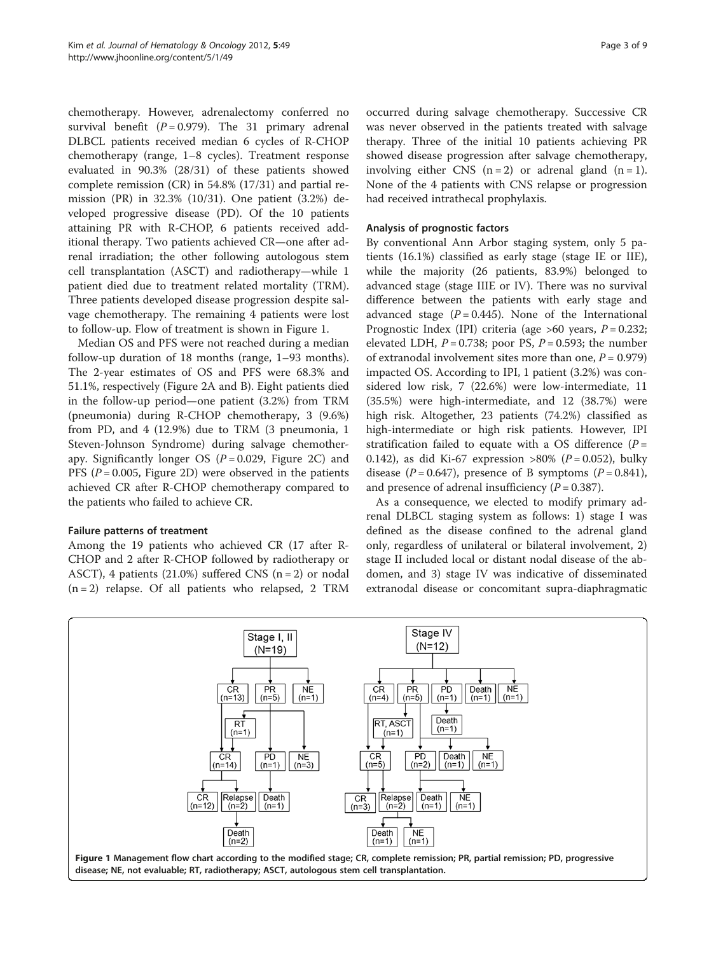<span id="page-2-0"></span>chemotherapy. However, adrenalectomy conferred no survival benefit  $(P = 0.979)$ . The 31 primary adrenal DLBCL patients received median 6 cycles of R-CHOP chemotherapy (range, 1–8 cycles). Treatment response evaluated in 90.3% (28/31) of these patients showed complete remission (CR) in 54.8% (17/31) and partial remission (PR) in 32.3% (10/31). One patient (3.2%) developed progressive disease (PD). Of the 10 patients attaining PR with R-CHOP, 6 patients received additional therapy. Two patients achieved CR—one after adrenal irradiation; the other following autologous stem cell transplantation (ASCT) and radiotherapy—while 1 patient died due to treatment related mortality (TRM). Three patients developed disease progression despite salvage chemotherapy. The remaining 4 patients were lost to follow-up. Flow of treatment is shown in Figure 1.

Median OS and PFS were not reached during a median follow-up duration of 18 months (range, 1–93 months). The 2-year estimates of OS and PFS were 68.3% and 51.1%, respectively (Figure [2A and B\)](#page-3-0). Eight patients died in the follow-up period—one patient (3.2%) from TRM (pneumonia) during R-CHOP chemotherapy, 3 (9.6%) from PD, and 4 (12.9%) due to TRM (3 pneumonia, 1 Steven-Johnson Syndrome) during salvage chemotherapy. Significantly longer OS ( $P = 0.029$ , Figure [2C\)](#page-3-0) and PFS ( $P = 0.005$ , Figure [2D\)](#page-3-0) were observed in the patients achieved CR after R-CHOP chemotherapy compared to the patients who failed to achieve CR.

#### Failure patterns of treatment

Among the 19 patients who achieved CR (17 after R-CHOP and 2 after R-CHOP followed by radiotherapy or ASCT), 4 patients (21.0%) suffered CNS ( $n = 2$ ) or nodal  $(n = 2)$  relapse. Of all patients who relapsed, 2 TRM occurred during salvage chemotherapy. Successive CR was never observed in the patients treated with salvage therapy. Three of the initial 10 patients achieving PR showed disease progression after salvage chemotherapy, involving either CNS  $(n = 2)$  or adrenal gland  $(n = 1)$ . None of the 4 patients with CNS relapse or progression had received intrathecal prophylaxis.

#### Analysis of prognostic factors

By conventional Ann Arbor staging system, only 5 patients (16.1%) classified as early stage (stage IE or IIE), while the majority (26 patients, 83.9%) belonged to advanced stage (stage IIIE or IV). There was no survival difference between the patients with early stage and advanced stage  $(P = 0.445)$ . None of the International Prognostic Index (IPI) criteria (age  $>60$  years,  $P = 0.232$ ; elevated LDH,  $P = 0.738$ ; poor PS,  $P = 0.593$ ; the number of extranodal involvement sites more than one,  $P = 0.979$ ) impacted OS. According to IPI, 1 patient (3.2%) was considered low risk, 7 (22.6%) were low-intermediate, 11 (35.5%) were high-intermediate, and 12 (38.7%) were high risk. Altogether, 23 patients (74.2%) classified as high-intermediate or high risk patients. However, IPI stratification failed to equate with a OS difference  $(P =$ 0.142), as did Ki-67 expression >80% ( $P = 0.052$ ), bulky disease  $(P = 0.647)$ , presence of B symptoms  $(P = 0.841)$ , and presence of adrenal insufficiency  $(P = 0.387)$ .

As a consequence, we elected to modify primary adrenal DLBCL staging system as follows: 1) stage I was defined as the disease confined to the adrenal gland only, regardless of unilateral or bilateral involvement, 2) stage II included local or distant nodal disease of the abdomen, and 3) stage IV was indicative of disseminated extranodal disease or concomitant supra-diaphragmatic

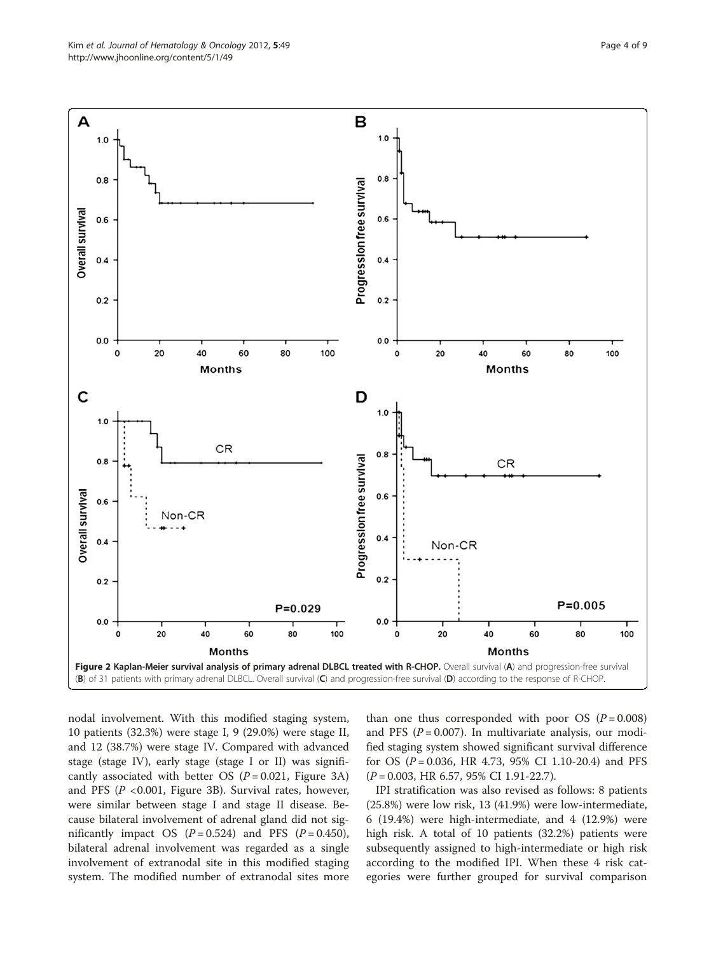<span id="page-3-0"></span>

nodal involvement. With this modified staging system, 10 patients (32.3%) were stage I, 9 (29.0%) were stage II, and 12 (38.7%) were stage IV. Compared with advanced stage (stage IV), early stage (stage I or II) was significantly associated with better OS  $(P = 0.021,$  Figure [3A](#page-4-0)) and PFS ( $P < 0.001$ , Figure [3B\)](#page-4-0). Survival rates, however, were similar between stage I and stage II disease. Because bilateral involvement of adrenal gland did not significantly impact OS  $(P = 0.524)$  and PFS  $(P = 0.450)$ , bilateral adrenal involvement was regarded as a single involvement of extranodal site in this modified staging system. The modified number of extranodal sites more

than one thus corresponded with poor OS  $(P = 0.008)$ and PFS ( $P = 0.007$ ). In multivariate analysis, our modified staging system showed significant survival difference for OS ( $P = 0.036$ , HR 4.73, 95% CI 1.10-20.4) and PFS  $(P = 0.003, HR 6.57, 95\% CI 1.91-22.7).$ 

IPI stratification was also revised as follows: 8 patients (25.8%) were low risk, 13 (41.9%) were low-intermediate, 6 (19.4%) were high-intermediate, and 4 (12.9%) were high risk. A total of 10 patients (32.2%) patients were subsequently assigned to high-intermediate or high risk according to the modified IPI. When these 4 risk categories were further grouped for survival comparison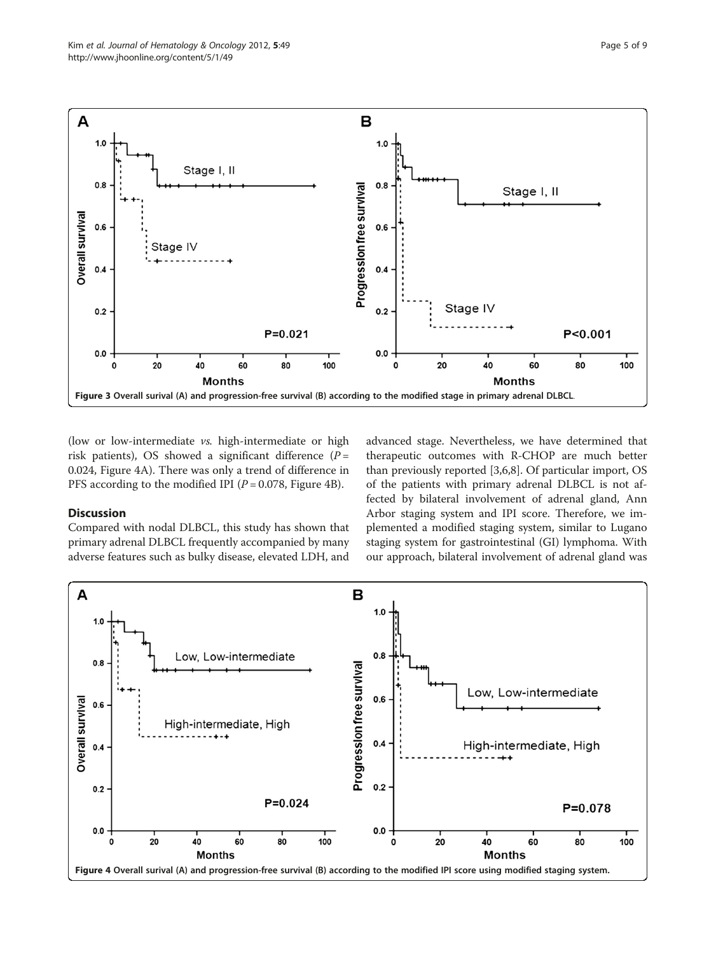<span id="page-4-0"></span>

(low or low-intermediate vs. high-intermediate or high risk patients), OS showed a significant difference ( $P =$ 0.024, Figure 4A). There was only a trend of difference in PFS according to the modified IPI ( $P = 0.078$ , Figure 4B).

# Discussion

Compared with nodal DLBCL, this study has shown that primary adrenal DLBCL frequently accompanied by many adverse features such as bulky disease, elevated LDH, and advanced stage. Nevertheless, we have determined that therapeutic outcomes with R-CHOP are much better than previously reported [[3,6,8\]](#page-7-0). Of particular import, OS of the patients with primary adrenal DLBCL is not affected by bilateral involvement of adrenal gland, Ann Arbor staging system and IPI score. Therefore, we implemented a modified staging system, similar to Lugano staging system for gastrointestinal (GI) lymphoma. With our approach, bilateral involvement of adrenal gland was

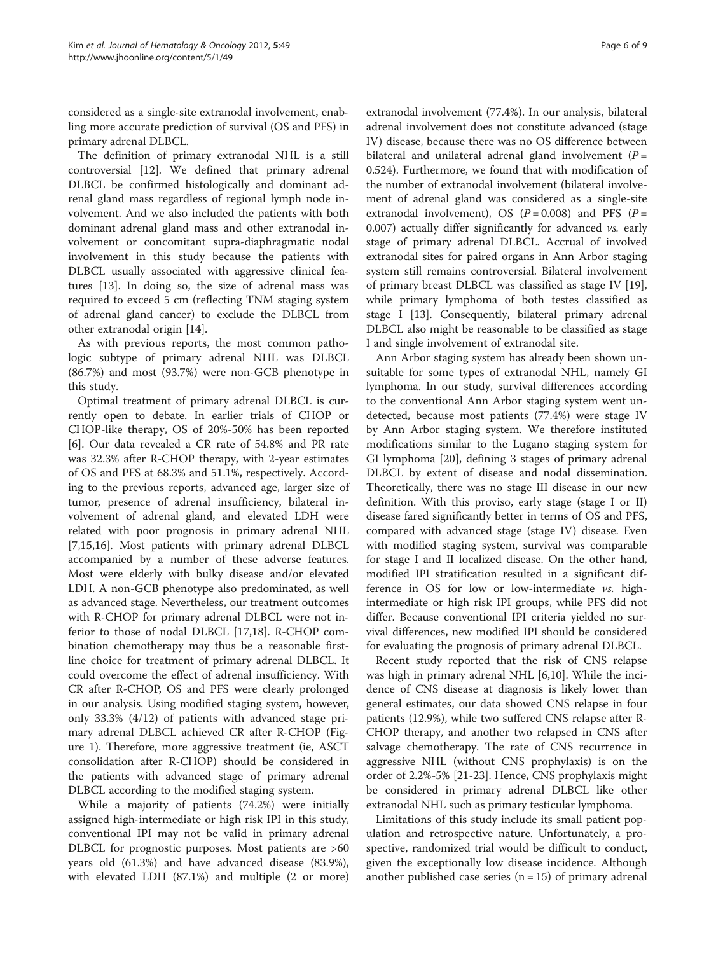considered as a single-site extranodal involvement, enabling more accurate prediction of survival (OS and PFS) in primary adrenal DLBCL.

The definition of primary extranodal NHL is a still controversial [\[12](#page-7-0)]. We defined that primary adrenal DLBCL be confirmed histologically and dominant adrenal gland mass regardless of regional lymph node involvement. And we also included the patients with both dominant adrenal gland mass and other extranodal involvement or concomitant supra-diaphragmatic nodal involvement in this study because the patients with DLBCL usually associated with aggressive clinical features [\[13](#page-7-0)]. In doing so, the size of adrenal mass was required to exceed 5 cm (reflecting TNM staging system of adrenal gland cancer) to exclude the DLBCL from other extranodal origin [[14](#page-7-0)].

As with previous reports, the most common pathologic subtype of primary adrenal NHL was DLBCL (86.7%) and most (93.7%) were non-GCB phenotype in this study.

Optimal treatment of primary adrenal DLBCL is currently open to debate. In earlier trials of CHOP or CHOP-like therapy, OS of 20%-50% has been reported [[6\]](#page-7-0). Our data revealed a CR rate of 54.8% and PR rate was 32.3% after R-CHOP therapy, with 2-year estimates of OS and PFS at 68.3% and 51.1%, respectively. According to the previous reports, advanced age, larger size of tumor, presence of adrenal insufficiency, bilateral involvement of adrenal gland, and elevated LDH were related with poor prognosis in primary adrenal NHL [[7,15,16\]](#page-7-0). Most patients with primary adrenal DLBCL accompanied by a number of these adverse features. Most were elderly with bulky disease and/or elevated LDH. A non-GCB phenotype also predominated, as well as advanced stage. Nevertheless, our treatment outcomes with R-CHOP for primary adrenal DLBCL were not inferior to those of nodal DLBCL [[17](#page-7-0),[18](#page-7-0)]. R-CHOP combination chemotherapy may thus be a reasonable firstline choice for treatment of primary adrenal DLBCL. It could overcome the effect of adrenal insufficiency. With CR after R-CHOP, OS and PFS were clearly prolonged in our analysis. Using modified staging system, however, only 33.3% (4/12) of patients with advanced stage primary adrenal DLBCL achieved CR after R-CHOP (Figure [1\)](#page-2-0). Therefore, more aggressive treatment (ie, ASCT consolidation after R-CHOP) should be considered in the patients with advanced stage of primary adrenal DLBCL according to the modified staging system.

While a majority of patients (74.2%) were initially assigned high-intermediate or high risk IPI in this study, conventional IPI may not be valid in primary adrenal DLBCL for prognostic purposes. Most patients are >60 years old (61.3%) and have advanced disease (83.9%), with elevated LDH (87.1%) and multiple (2 or more)

extranodal involvement (77.4%). In our analysis, bilateral adrenal involvement does not constitute advanced (stage IV) disease, because there was no OS difference between bilateral and unilateral adrenal gland involvement  $(P =$ 0.524). Furthermore, we found that with modification of the number of extranodal involvement (bilateral involvement of adrenal gland was considered as a single-site extranodal involvement), OS ( $P = 0.008$ ) and PFS ( $P =$ 0.007) actually differ significantly for advanced vs. early stage of primary adrenal DLBCL. Accrual of involved extranodal sites for paired organs in Ann Arbor staging system still remains controversial. Bilateral involvement of primary breast DLBCL was classified as stage IV [\[19](#page-7-0)], while primary lymphoma of both testes classified as stage I [[13](#page-7-0)]. Consequently, bilateral primary adrenal DLBCL also might be reasonable to be classified as stage I and single involvement of extranodal site.

Ann Arbor staging system has already been shown unsuitable for some types of extranodal NHL, namely GI lymphoma. In our study, survival differences according to the conventional Ann Arbor staging system went undetected, because most patients (77.4%) were stage IV by Ann Arbor staging system. We therefore instituted modifications similar to the Lugano staging system for GI lymphoma [\[20\]](#page-7-0), defining 3 stages of primary adrenal DLBCL by extent of disease and nodal dissemination. Theoretically, there was no stage III disease in our new definition. With this proviso, early stage (stage I or II) disease fared significantly better in terms of OS and PFS, compared with advanced stage (stage IV) disease. Even with modified staging system, survival was comparable for stage I and II localized disease. On the other hand, modified IPI stratification resulted in a significant difference in OS for low or low-intermediate vs. highintermediate or high risk IPI groups, while PFS did not differ. Because conventional IPI criteria yielded no survival differences, new modified IPI should be considered for evaluating the prognosis of primary adrenal DLBCL.

Recent study reported that the risk of CNS relapse was high in primary adrenal NHL [[6,10\]](#page-7-0). While the incidence of CNS disease at diagnosis is likely lower than general estimates, our data showed CNS relapse in four patients (12.9%), while two suffered CNS relapse after R-CHOP therapy, and another two relapsed in CNS after salvage chemotherapy. The rate of CNS recurrence in aggressive NHL (without CNS prophylaxis) is on the order of 2.2%-5% [\[21](#page-7-0)-[23\]](#page-7-0). Hence, CNS prophylaxis might be considered in primary adrenal DLBCL like other extranodal NHL such as primary testicular lymphoma.

Limitations of this study include its small patient population and retrospective nature. Unfortunately, a prospective, randomized trial would be difficult to conduct, given the exceptionally low disease incidence. Although another published case series  $(n = 15)$  of primary adrenal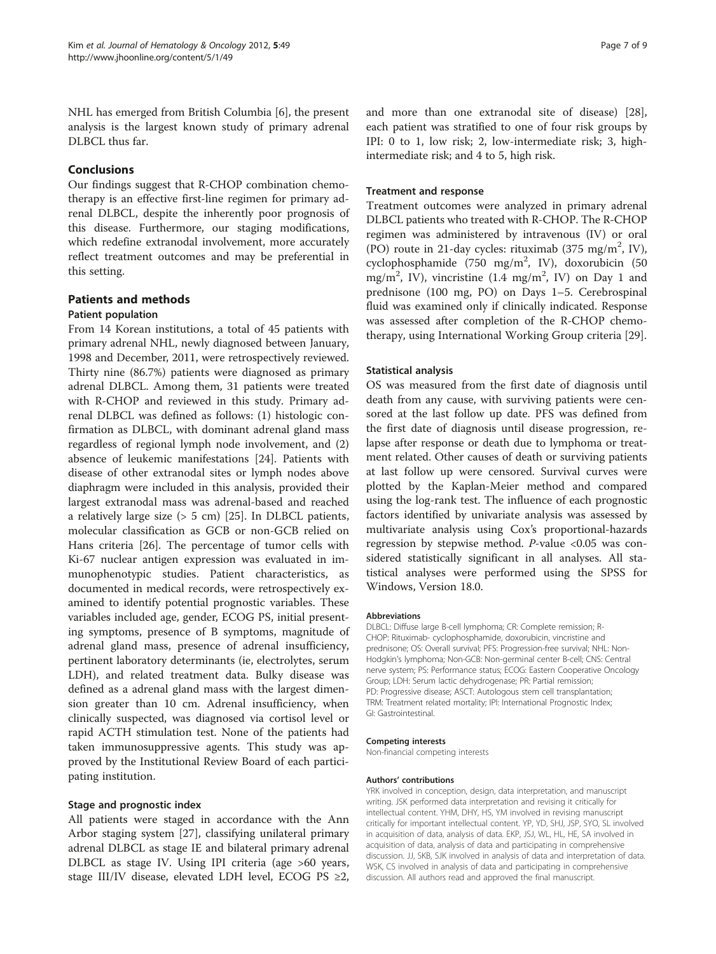NHL has emerged from British Columbia [[6\]](#page-7-0), the present analysis is the largest known study of primary adrenal DLBCL thus far.

# Conclusions

Our findings suggest that R-CHOP combination chemotherapy is an effective first-line regimen for primary adrenal DLBCL, despite the inherently poor prognosis of this disease. Furthermore, our staging modifications, which redefine extranodal involvement, more accurately reflect treatment outcomes and may be preferential in this setting.

# Patients and methods

#### Patient population

From 14 Korean institutions, a total of 45 patients with primary adrenal NHL, newly diagnosed between January, 1998 and December, 2011, were retrospectively reviewed. Thirty nine (86.7%) patients were diagnosed as primary adrenal DLBCL. Among them, 31 patients were treated with R-CHOP and reviewed in this study. Primary adrenal DLBCL was defined as follows: (1) histologic confirmation as DLBCL, with dominant adrenal gland mass regardless of regional lymph node involvement, and (2) absence of leukemic manifestations [\[24\]](#page-7-0). Patients with disease of other extranodal sites or lymph nodes above diaphragm were included in this analysis, provided their largest extranodal mass was adrenal-based and reached a relatively large size (> 5 cm) [\[25](#page-7-0)]. In DLBCL patients, molecular classification as GCB or non-GCB relied on Hans criteria [[26\]](#page-7-0). The percentage of tumor cells with Ki-67 nuclear antigen expression was evaluated in immunophenotypic studies. Patient characteristics, as documented in medical records, were retrospectively examined to identify potential prognostic variables. These variables included age, gender, ECOG PS, initial presenting symptoms, presence of B symptoms, magnitude of adrenal gland mass, presence of adrenal insufficiency, pertinent laboratory determinants (ie, electrolytes, serum LDH), and related treatment data. Bulky disease was defined as a adrenal gland mass with the largest dimension greater than 10 cm. Adrenal insufficiency, when clinically suspected, was diagnosed via cortisol level or rapid ACTH stimulation test. None of the patients had taken immunosuppressive agents. This study was approved by the Institutional Review Board of each participating institution.

#### Stage and prognostic index

All patients were staged in accordance with the Ann Arbor staging system [\[27\]](#page-7-0), classifying unilateral primary adrenal DLBCL as stage IE and bilateral primary adrenal DLBCL as stage IV. Using IPI criteria (age >60 years, stage III/IV disease, elevated LDH level, ECOG PS ≥2, and more than one extranodal site of disease) [\[28](#page-7-0)], each patient was stratified to one of four risk groups by IPI: 0 to 1, low risk; 2, low-intermediate risk; 3, highintermediate risk; and 4 to 5, high risk.

#### Treatment and response

Treatment outcomes were analyzed in primary adrenal DLBCL patients who treated with R-CHOP. The R-CHOP regimen was administered by intravenous (IV) or oral (PO) route in 21-day cycles: rituximab (375 mg/m<sup>2</sup>, IV), cyclophosphamide (750 mg/m<sup>2</sup>, IV), doxorubicin (50 mg/m<sup>2</sup>, IV), vincristine (1.4 mg/m<sup>2</sup>, IV) on Day 1 and prednisone (100 mg, PO) on Days 1–5. Cerebrospinal fluid was examined only if clinically indicated. Response was assessed after completion of the R-CHOP chemotherapy, using International Working Group criteria [[29\]](#page-8-0).

#### Statistical analysis

OS was measured from the first date of diagnosis until death from any cause, with surviving patients were censored at the last follow up date. PFS was defined from the first date of diagnosis until disease progression, relapse after response or death due to lymphoma or treatment related. Other causes of death or surviving patients at last follow up were censored. Survival curves were plotted by the Kaplan-Meier method and compared using the log-rank test. The influence of each prognostic factors identified by univariate analysis was assessed by multivariate analysis using Cox's proportional-hazards regression by stepwise method.  $P$ -value <0.05 was considered statistically significant in all analyses. All statistical analyses were performed using the SPSS for Windows, Version 18.0.

#### Abbreviations

DLBCL: Diffuse large B-cell lymphoma; CR: Complete remission; R-CHOP: Rituximab- cyclophosphamide, doxorubicin, vincristine and prednisone; OS: Overall survival; PFS: Progression-free survival; NHL: Non-Hodgkin's lymphoma; Non-GCB: Non-germinal center B-cell; CNS: Central nerve system; PS: Performance status; ECOG: Eastern Cooperative Oncology Group; LDH: Serum lactic dehydrogenase; PR: Partial remission; PD: Progressive disease; ASCT: Autologous stem cell transplantation; TRM: Treatment related mortality; IPI: International Prognostic Index; GI: Gastrointestinal.

#### Competing interests

Non-financial competing interests

#### Authors' contributions

YRK involved in conception, design, data interpretation, and manuscript writing. JSK performed data interpretation and revising it critically for intellectual content. YHM, DHY, HS, YM involved in revising manuscript critically for important intellectual content. YP, YD, SHJ, JSP, SYO, SL involved in acquisition of data, analysis of data. EKP, JSJ, WL, HL, HE, SA involved in acquisition of data, analysis of data and participating in comprehensive discussion. JJ, SKB, SJK involved in analysis of data and interpretation of data. WSK, CS involved in analysis of data and participating in comprehensive discussion. All authors read and approved the final manuscript.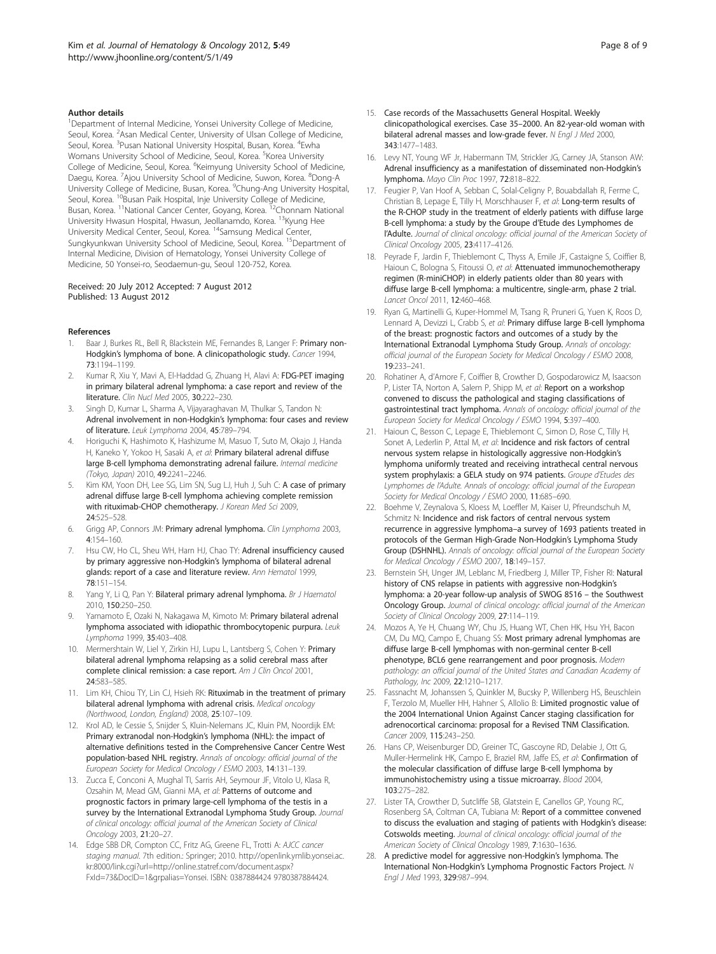#### <span id="page-7-0"></span>Author details

<sup>1</sup>Department of Internal Medicine, Yonsei University College of Medicine, Seoul, Korea. <sup>2</sup>Asan Medical Center, University of Ulsan College of Medicine, Seoul, Korea. <sup>3</sup>Pusan National University Hospital, Busan, Korea. <sup>4</sup>Ewha Womans University School of Medicine, Seoul, Korea. <sup>5</sup>Korea University College of Medicine, Seoul, Korea. <sup>6</sup>Keimyung University School of Medicine, Daegu, Korea. <sup>7</sup>Ajou University School of Medicine, Suwon, Korea. <sup>8</sup>Dong-A University College of Medicine, Busan, Korea. <sup>9</sup>Chung-Ang University Hospital, Seoul, Korea. <sup>10</sup>Busan Paik Hospital, Inje University College of Medicine, Busan, Korea. <sup>11</sup>National Cancer Center, Goyang, Korea. <sup>12</sup>Chonnam National University Hwasun Hospital, Hwasun, Jeollanamdo, Korea. 13Kyung Hee University Medical Center, Seoul, Korea. 14Samsung Medical Center, Sungkyunkwan University School of Medicine, Seoul, Korea. <sup>15</sup>Department of Internal Medicine, Division of Hematology, Yonsei University College of Medicine, 50 Yonsei-ro, Seodaemun-gu, Seoul 120-752, Korea.

#### Received: 20 July 2012 Accepted: 7 August 2012 Published: 13 August 2012

#### References

- Baar J, Burkes RL, Bell R, Blackstein ME, Fernandes B, Langer F: Primary non-Hodgkin's lymphoma of bone. A clinicopathologic study. Cancer 1994, 73:1194–1199.
- 2. Kumar R, Xiu Y, Mavi A, El-Haddad G, Zhuang H, Alavi A: FDG-PET imaging in primary bilateral adrenal lymphoma: a case report and review of the literature. Clin Nucl Med 2005, 30:222–230.
- 3. Singh D, Kumar L, Sharma A, Vijayaraghavan M, Thulkar S, Tandon N: Adrenal involvement in non-Hodgkin's lymphoma: four cases and review of literature. Leuk Lymphoma 2004, 45:789–794.
- 4. Horiguchi K, Hashimoto K, Hashizume M, Masuo T, Suto M, Okajo J, Handa H, Kaneko Y, Yokoo H, Sasaki A, et al: Primary bilateral adrenal diffuse large B-cell lymphoma demonstrating adrenal failure. Internal medicine (Tokyo, Japan) 2010, 49:2241–2246.
- 5. Kim KM, Yoon DH, Lee SG, Lim SN, Sug LJ, Huh J, Suh C: A case of primary adrenal diffuse large B-cell lymphoma achieving complete remission with rituximab-CHOP chemotherapy. J Korean Med Sci 2009, 24:525–528.
- 6. Grigg AP, Connors JM: Primary adrenal lymphoma. Clin Lymphoma 2003, 4:154–160.
- 7. Hsu CW, Ho CL, Sheu WH, Harn HJ, Chao TY: Adrenal insufficiency caused by primary aggressive non-Hodgkin's lymphoma of bilateral adrenal glands: report of a case and literature review. Ann Hematol 1999, 78:151–154.
- Yang Y, Li Q, Pan Y: Bilateral primary adrenal lymphoma. Br J Haematol 2010, 150:250–250.
- Yamamoto E, Ozaki N, Nakagawa M, Kimoto M: Primary bilateral adrenal lymphoma associated with idiopathic thrombocytopenic purpura. Leuk Lymphoma 1999, 35:403–408.
- 10. Mermershtain W, Liel Y, Zirkin HJ, Lupu L, Lantsberg S, Cohen Y: Primary bilateral adrenal lymphoma relapsing as a solid cerebral mass after complete clinical remission: a case report. Am J Clin Oncol 2001, 24:583–585.
- 11. Lim KH, Chiou TY, Lin CJ, Hsieh RK: Rituximab in the treatment of primary bilateral adrenal lymphoma with adrenal crisis. Medical oncology (Northwood, London, England) 2008, 25:107–109.
- 12. Krol AD, le Cessie S, Snijder S, Kluin-Nelemans JC, Kluin PM, Noordijk EM: Primary extranodal non-Hodgkin's lymphoma (NHL): the impact of alternative definitions tested in the Comprehensive Cancer Centre West population-based NHL registry. Annals of oncology: official journal of the European Society for Medical Oncology / ESMO 2003, 14:131–139.
- 13. Zucca E, Conconi A, Mughal TI, Sarris AH, Seymour JF, Vitolo U, Klasa R, Ozsahin M, Mead GM, Gianni MA, et al: Patterns of outcome and prognostic factors in primary large-cell lymphoma of the testis in a survey by the International Extranodal Lymphoma Study Group. Journal of clinical oncology: official journal of the American Society of Clinical Oncology 2003, 21:20–27.
- 14. Edge SBB DR, Compton CC, Fritz AG, Greene FL, Trotti A: AJCC cancer staging manual. 7th edition.: Springer; 2010. [http://openlink.ymlib.yonsei.ac.](http://openlink.ymlib.yonsei.ac.kr:8000/link.cgi?url=http://online.statref.com/document.aspx?FxId=73&DocID=1&grpalias=Yonsei) [kr:8000/link.cgi?url=http://online.statref.com/document.aspx?](http://openlink.ymlib.yonsei.ac.kr:8000/link.cgi?url=http://online.statref.com/document.aspx?FxId=73&DocID=1&grpalias=Yonsei) [FxId=73&DocID=1&grpalias=Yonsei](http://openlink.ymlib.yonsei.ac.kr:8000/link.cgi?url=http://online.statref.com/document.aspx?FxId=73&DocID=1&grpalias=Yonsei). ISBN: 0387884424 9780387884424.
- 15. Case records of the Massachusetts General Hospital. Weekly clinicopathological exercises. Case 35–2000. An 82-year-old woman with bilateral adrenal masses and low-grade fever. N Engl J Med 2000, 343:1477–1483.
- 16. Levy NT, Young WF Jr, Habermann TM, Strickler JG, Carney JA, Stanson AW: Adrenal insufficiency as a manifestation of disseminated non-Hodgkin's lymphoma. Mayo Clin Proc 1997, 72:818–822.
- 17. Feugier P, Van Hoof A, Sebban C, Solal-Celigny P, Bouabdallah R, Ferme C, Christian B, Lepage E, Tilly H, Morschhauser F, et al: Long-term results of the R-CHOP study in the treatment of elderly patients with diffuse large B-cell lymphoma: a study by the Groupe d'Etude des Lymphomes de l'Adulte. Journal of clinical oncology: official journal of the American Society of Clinical Oncology 2005, 23:4117–4126.
- 18. Peyrade F, Jardin F, Thieblemont C, Thyss A, Emile JF, Castaigne S, Coiffier B, Haioun C, Bologna S, Fitoussi O, et al: Attenuated immunochemotherapy regimen (R-miniCHOP) in elderly patients older than 80 years with diffuse large B-cell lymphoma: a multicentre, single-arm, phase 2 trial. Lancet Oncol 2011, 12:460–468.
- 19. Ryan G, Martinelli G, Kuper-Hommel M, Tsang R, Pruneri G, Yuen K, Roos D, Lennard A, Devizzi L, Crabb S, et al: Primary diffuse large B-cell lymphoma of the breast: prognostic factors and outcomes of a study by the International Extranodal Lymphoma Study Group. Annals of oncology: official journal of the European Society for Medical Oncology / ESMO 2008, 19:233–241.
- 20. Rohatiner A, d'Amore F, Coiffier B, Crowther D, Gospodarowicz M, Isaacson P, Lister TA, Norton A, Salem P, Shipp M, et al: Report on a workshop convened to discuss the pathological and staging classifications of gastrointestinal tract lymphoma. Annals of oncology: official journal of the European Society for Medical Oncology / ESMO 1994, 5:397–400.
- 21. Haioun C, Besson C, Lepage E, Thieblemont C, Simon D, Rose C, Tilly H, Sonet A, Lederlin P, Attal M, et al: Incidence and risk factors of central nervous system relapse in histologically aggressive non-Hodgkin's lymphoma uniformly treated and receiving intrathecal central nervous system prophylaxis: a GELA study on 974 patients. Groupe d'Etudes des Lymphomes de l'Adulte. Annals of oncology: official journal of the European Society for Medical Oncology / ESMO 2000, 11:685–690.
- 22. Boehme V, Zeynalova S, Kloess M, Loeffler M, Kaiser U, Pfreundschuh M, Schmitz N: Incidence and risk factors of central nervous system recurrence in aggressive lymphoma–a survey of 1693 patients treated in protocols of the German High-Grade Non-Hodgkin's Lymphoma Study Group (DSHNHL). Annals of oncology: official journal of the European Society for Medical Oncology / ESMO 2007, 18:149–157.
- 23. Bernstein SH, Unger JM, Leblanc M, Friedberg J, Miller TP, Fisher RI: Natural history of CNS relapse in patients with aggressive non-Hodgkin's lymphoma: a 20-year follow-up analysis of SWOG 8516 – the Southwest Oncology Group. Journal of clinical oncology: official journal of the American Society of Clinical Oncology 2009, 27:114–119.
- 24. Mozos A, Ye H, Chuang WY, Chu JS, Huang WT, Chen HK, Hsu YH, Bacon CM, Du MQ, Campo E, Chuang SS: Most primary adrenal lymphomas are diffuse large B-cell lymphomas with non-germinal center B-cell phenotype, BCL6 gene rearrangement and poor prognosis. Modern pathology: an official journal of the United States and Canadian Academy of Pathology, Inc 2009, 22:1210–1217.
- 25. Fassnacht M, Johanssen S, Quinkler M, Bucsky P, Willenberg HS, Beuschlein F, Terzolo M, Mueller HH, Hahner S, Allolio B: Limited prognostic value of the 2004 International Union Against Cancer staging classification for adrenocortical carcinoma: proposal for a Revised TNM Classification. Cancer 2009, 115:243–250.
- 26. Hans CP, Weisenburger DD, Greiner TC, Gascoyne RD, Delabie J, Ott G, Muller-Hermelink HK, Campo E, Braziel RM, Jaffe ES, et al: Confirmation of the molecular classification of diffuse large B-cell lymphoma by immunohistochemistry using a tissue microarray. Blood 2004, 103:275–282.
- 27. Lister TA, Crowther D, Sutcliffe SB, Glatstein E, Canellos GP, Young RC, Rosenberg SA, Coltman CA, Tubiana M: Report of a committee convened to discuss the evaluation and staging of patients with Hodgkin's disease: Cotswolds meeting. Journal of clinical oncology: official journal of the American Society of Clinical Oncology 1989, 7:1630–1636.
- 28. A predictive model for aggressive non-Hodgkin's lymphoma. The International Non-Hodgkin's Lymphoma Prognostic Factors Project. N Engl J Med 1993, 329:987–994.